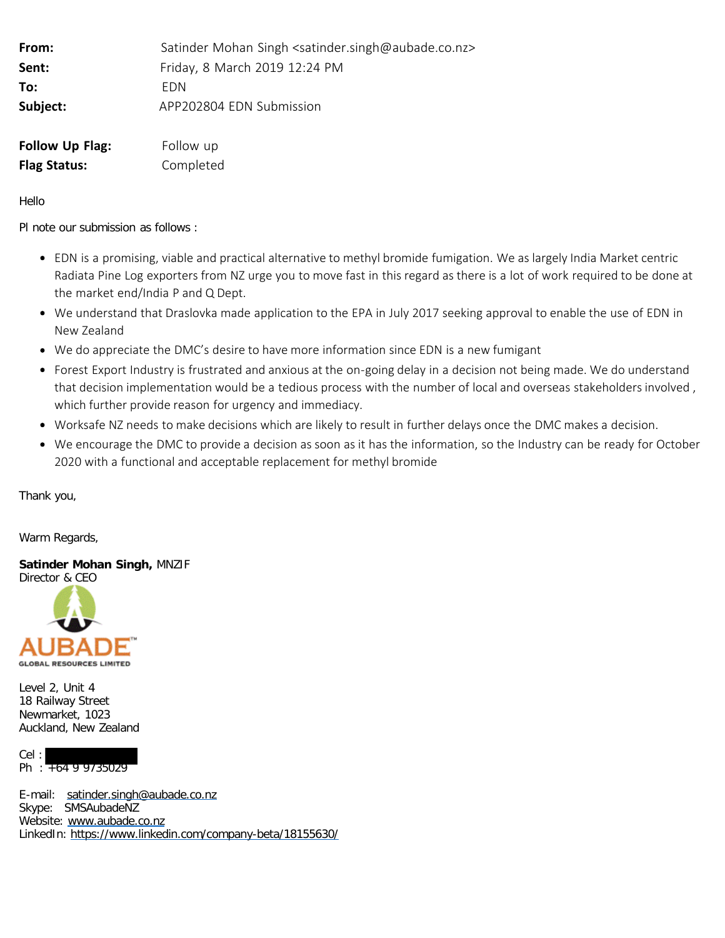| From:               | Satinder Mohan Singh <satinder.singh@aubade.co.nz></satinder.singh@aubade.co.nz> |
|---------------------|----------------------------------------------------------------------------------|
| Sent:               | Friday, 8 March 2019 12:24 PM                                                    |
| To:                 | <b>FDN</b>                                                                       |
| Subject:            | APP202804 EDN Submission                                                         |
| Follow Up Flag:     | Follow up                                                                        |
| <b>Flag Status:</b> | Completed                                                                        |

Hello

Pl note our submission as follows :

- EDN is a promising, viable and practical alternative to methyl bromide fumigation. We as largely India Market centric Radiata Pine Log exporters from NZ urge you to move fast in this regard as there is a lot of work required to be done at the market end/India P and Q Dept.
- We understand that Draslovka made application to the EPA in July 2017 seeking approval to enable the use of EDN in New Zealand
- We do appreciate the DMC's desire to have more information since EDN is a new fumigant
- Forest Export Industry is frustrated and anxious at the on-going delay in a decision not being made. We do understand that decision implementation would be a tedious process with the number of local and overseas stakeholders involved , which further provide reason for urgency and immediacy.
- Worksafe NZ needs to make decisions which are likely to result in further delays once the DMC makes a decision.
- We encourage the DMC to provide a decision as soon as it has the information, so the Industry can be ready for October 2020 with a functional and acceptable replacement for methyl bromide

Thank you,

Warm Regards,

**Satinder Mohan Singh,** MNZIF



Level 2, Unit 4 18 Railway Street Newmarket, 1023 Auckland, New Zealand

Cel : Ph : +64 9 9735029

E-mail: [satinder.singh@aubade.co.nz](mailto:satinder.singh@aubade.co.nz) Skype: SMSAubadeNZ Website: [www.aubade.co.nz](http://www.aubade.co.nz/) LinkedIn: <https://www.linkedin.com/company-beta/18155630/>